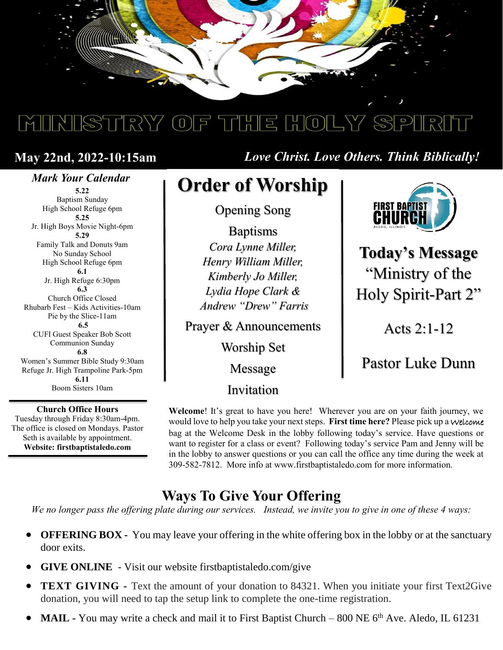

# MINISTRY OF THE HOLY SPIRIT

## **May 22nd, 2022-10:15am**

### *Mark Your Calendar*

**5.22** Baptism Sunday High School Refuge 6pm **5.25** Jr. High Boys Movie Night-6pm **5.29** Family Talk and Donuts 9am No Sunday School High School Refuge 6pm **6.1** Jr. High Refuge 6:30pm **6.3** Church Office Closed Rhubarb Fest – Kids Activities-10am Pie by the Slice-11am **6.5** CUFI Guest Speaker Bob Scott Communion Sunday **6.8** Women's Summer Bible Study 9:30am Refuge Jr. High Trampoline Park-5pm **6.11** Boom Sisters 10am

**Church Office Hours** Tuesday through Friday 8:30am-4pm. The office is closed on Mondays. Pastor Seth is available by appointment. **Website: firstbaptistaledo.com**

*Love Christ. Love Others. Think Biblically!*

# **Order of Worship**

Opening Song

Baptisms *Cora Lynne Miller, Henry William Miller, Kimberly Jo Miller, Lydia Hope Clark & Andrew "Drew" Farris*

Prayer & Announcements

Worship Set

Message

Invitation



**Today's Message** "Ministry of the Holy Spirit-Part 2"

Acts 2:1-12

## Pastor Luke Dunn

**Welcome**! It's great to have you here! Wherever you are on your faith journey, we would love to help you take your next steps. **First time here?** Please pick up a Welcome bag at the Welcome Desk in the lobby following today's service. Have questions or want to register for a class or event? Following today's service Pam and Jenny will be in the lobby to answer questions or you can call the office any time during the week at 309-582-7812. More info at www.firstbaptistaledo.com for more information.

## **Ways To Give Your Offering**

*We no longer pass the offering plate during our services. Instead, we invite you to give in one of these 4 ways:*

- **OFFERING BOX** You may leave your offering in the white offering box in the lobby or at the sanctuary door exits.
- **GIVE ONLINE** Visit our website firstbaptistaledo.com/give
- **TEXT GIVING -** Text the amount of your donation to 84321. When you initiate your first Text2Give donation, you will need to tap the setup link to complete the one-time registration.
- **MAIL -** You may write a check and mail it to First Baptist Church 800 NE 6<sup>th</sup> Ave. Aledo, IL 61231